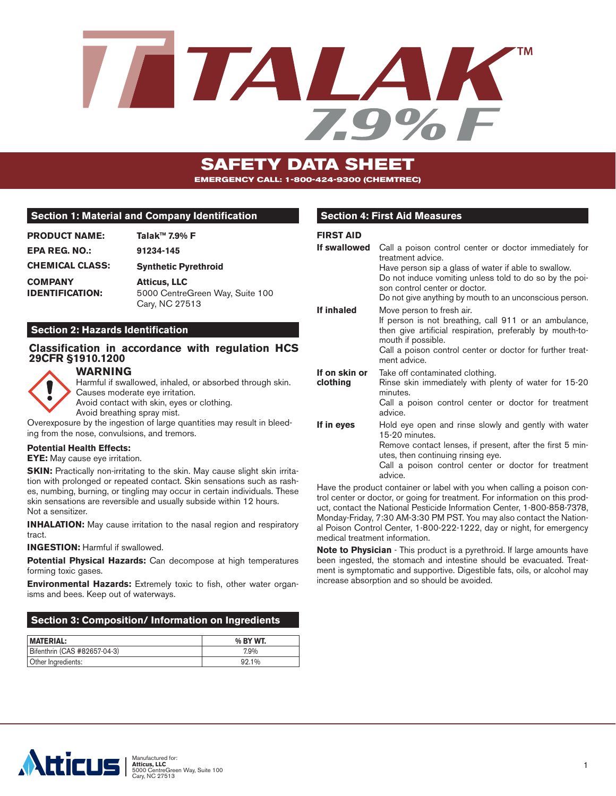

# **SAFETY DATA SHEET EMERGENCY CALL: 1-800-424-9300 (CHEMTREC)**

# **Section 1: Material and Company Identification**

| <b>PRODUCT NAME:</b>   | Talak™ 7.9% F                   |
|------------------------|---------------------------------|
| <b>EPA REG. NO.:</b>   | 91234-145                       |
| <b>CHEMICAL CLASS:</b> | <b>Synthetic Pyrethroid</b>     |
| <b>COMPANY</b>         | <b>Atticus, LLC</b>             |
| <b>IDENTIFICATION:</b> | 5000 CentreGreen Way, Suite 100 |
|                        | Cary, NC 27513                  |

## **Section 2: Hazards Identification**

#### **Classification in accordance with regulation HCS 29CFR §1910.1200**

## **WARNING**



Harmful if swallowed, inhaled, or absorbed through skin. Causes moderate eye irritation.

Avoid contact with skin, eyes or clothing.

Avoid breathing spray mist.

Overexposure by the ingestion of large quantities may result in bleeding from the nose, convulsions, and tremors.

#### **Potential Health Effects:**

**EYE:** May cause eye irritation.

**SKIN:** Practically non-irritating to the skin. May cause slight skin irritation with prolonged or repeated contact. Skin sensations such as rashes, numbing, burning, or tingling may occur in certain individuals. These skin sensations are reversible and usually subside within 12 hours. Not a sensitizer.

**INHALATION:** May cause irritation to the nasal region and respiratory tract.

**INGESTION:** Harmful if swallowed.

**Potential Physical Hazards:** Can decompose at high temperatures forming toxic gases.

**Environmental Hazards:** Extremely toxic to fish, other water organisms and bees. Keep out of waterways.

# **Section 3: Composition/ Information on Ingredients**

| <b>IMATERIAL:</b>            | % BY WT. |
|------------------------------|----------|
| Bifenthrin (CAS #82657-04-3) | 7.9%     |
| Other Ingredients:           | 92.1%    |

## **Section 4: First Aid Measures**

#### **FIRST AID**

| If swallowed              | Call a poison control center or doctor immediately for<br>treatment advice.<br>Have person sip a glass of water if able to swallow.<br>Do not induce vomiting unless told to do so by the poi-<br>son control center or doctor.<br>Do not give anything by mouth to an unconscious person. |
|---------------------------|--------------------------------------------------------------------------------------------------------------------------------------------------------------------------------------------------------------------------------------------------------------------------------------------|
| If inhaled                | Move person to fresh air.<br>If person is not breathing, call 911 or an ambulance,<br>then give artificial respiration, preferably by mouth-to-<br>mouth if possible.<br>Call a poison control center or doctor for further treat-<br>ment advice.                                         |
| If on skin or<br>clothing | Take off contaminated clothing.<br>Rinse skin immediately with plenty of water for 15-20<br>minutes.<br>Call a poison control center or doctor for treatment<br>advice.                                                                                                                    |
| If in eyes                | Hold eye open and rinse slowly and gently with water<br>15-20 minutes.<br>Remove contact lenses, if present, after the first 5 min-<br>utes, then continuing rinsing eye.<br>Call a poison control center or doctor for treatment<br>advice.                                               |

Have the product container or label with you when calling a poison control center or doctor, or going for treatment. For information on this product, contact the National Pesticide Information Center, 1-800-858-7378, Monday-Friday, 7:30 AM-3:30 PM PST. You may also contact the National Poison Control Center, 1-800-222-1222, day or night, for emergency medical treatment information.

**Note to Physician** - This product is a pyrethroid. If large amounts have been ingested, the stomach and intestine should be evacuated. Treatment is symptomatic and supportive. Digestible fats, oils, or alcohol may increase absorption and so should be avoided.

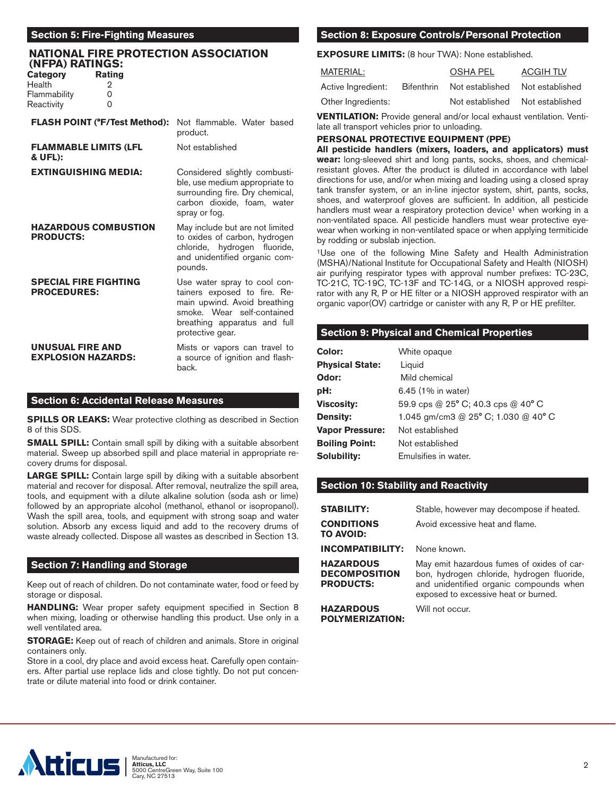#### **Section 5: Fire-Fighting Measures**

# **NATIONAL FIRE PROTECTION ASSOCIATION (NFPA) RATINGS:**

**Category Rating** Health 2 Flammability 0 Reactivity

| <b>FLASH POINT (°F/Test Method):</b>                 | Not flammable. Water based<br>product.                                                                                                                                         |
|------------------------------------------------------|--------------------------------------------------------------------------------------------------------------------------------------------------------------------------------|
| <b>FLAMMABLE LIMITS (LFL</b><br>& UFL):              | Not established                                                                                                                                                                |
| <b>EXTINGUISHING MEDIA:</b>                          | Considered slightly combusti-<br>ble, use medium appropriate to<br>surrounding fire. Dry chemical,<br>carbon dioxide, foam, water<br>spray or fog.                             |
| <b>HAZARDOUS COMBUSTION</b><br><b>PRODUCTS:</b>      | May include but are not limited<br>to oxides of carbon, hydrogen<br>chloride, hydrogen fluoride,<br>and unidentified organic com-<br>pounds.                                   |
| <b>SPECIAL FIRE FIGHTING</b><br><b>PROCEDURES:</b>   | Use water spray to cool con-<br>tainers exposed to fire. Re-<br>main upwind. Avoid breathing<br>smoke. Wear self-contained<br>breathing apparatus and full<br>protective gear. |
| <b>UNUSUAL FIRE AND</b><br><b>EXPLOSION HAZARDS:</b> | Mists or vapors can travel to<br>a source of ignition and flash-<br>back.                                                                                                      |

#### **Section 6: Accidental Release Measures**

**SPILLS OR LEAKS:** Wear protective clothing as described in Section 8 of this SDS.

**SMALL SPILL:** Contain small spill by diking with a suitable absorbent material. Sweep up absorbed spill and place material in appropriate recovery drums for disposal.

**LARGE SPILL:** Contain large spill by diking with a suitable absorbent material and recover for disposal. After removal, neutralize the spill area, tools, and equipment with a dilute alkaline solution (soda ash or lime) followed by an appropriate alcohol (methanol, ethanol or isopropanol). Wash the spill area, tools, and equipment with strong soap and water solution. Absorb any excess liquid and add to the recovery drums of waste already collected. Dispose all wastes as described in Section 13.

## **Section 7: Handling and Storage**

Keep out of reach of children. Do not contaminate water, food or feed by storage or disposal.

**HANDLING:** Wear proper safety equipment specified in Section 8 when mixing, loading or otherwise handling this product. Use only in a well ventilated area.

**STORAGE:** Keep out of reach of children and animals. Store in original containers only.

Store in a cool, dry place and avoid excess heat. Carefully open containers. After partial use replace lids and close tightly. Do not put concentrate or dilute material into food or drink container.

#### **Section 8: Exposure Controls/Personal Protection**

**EXPOSURE LIMITS:** (8 hour TWA): None established.

| MATERIAL:          |                   | <b>OSHA PEL</b> | <b>ACGIHTLV</b> |
|--------------------|-------------------|-----------------|-----------------|
| Active Ingredient: | <b>Bifenthrin</b> | Not established | Not established |
| Other Ingredients: |                   | Not established | Not established |

**VENTILATION:** Provide general and/or local exhaust ventilation. Ventilate all transport vehicles prior to unloading.

#### **PERSONAL PROTECTIVE EQUIPMENT (PPE)**

**All pesticide handlers (mixers, loaders, and applicators) must wear:** long-sleeved shirt and long pants, socks, shoes, and chemicalresistant gloves. After the product is diluted in accordance with label directions for use, and/or when mixing and loading using a closed spray tank transfer system, or an in-line injector system, shirt, pants, socks, shoes, and waterproof gloves are sufficient. In addition, all pesticide handlers must wear a respiratory protection device<sup>1</sup> when working in a non-ventilated space. All pesticide handlers must wear protective eyewear when working in non-ventilated space or when applying termiticide by rodding or subslab injection.

1Use one of the following Mine Safety and Health Administration (MSHA)/National Institute for Occupational Safety and Health (NIOSH) air purifying respirator types with approval number prefixes: TC-23C, TC-21C, TC-19C, TC-13F and TC-14G, or a NIOSH approved respirator with any R, P or HE filter or a NIOSH approved respirator with an organic vapor(OV) cartridge or canister with any R, P or HE prefilter.

## **Section 9: Physical and Chemical Properties**

| Color:                 | White opaque                                 |
|------------------------|----------------------------------------------|
| <b>Physical State:</b> | Liquid                                       |
| Odor:                  | Mild chemical                                |
| pH:                    | 6.45 (1% in water)                           |
| <b>Viscosity:</b>      | 59.9 cps @ 25° C; 40.3 cps @ 40° C           |
| <b>Density:</b>        | 1.045 gm/cm3 @ $25^{\circ}$ C; 1.030 @ 40° C |
| <b>Vapor Pressure:</b> | Not established                              |
| <b>Boiling Point:</b>  | Not established                              |
| Solubility:            | Emulsifies in water.                         |

## **Section 10: Stability and Reactivity**

| <b>STABILITY:</b>                                            | Stable, however may decompose if heated.                                                                                                                                    |
|--------------------------------------------------------------|-----------------------------------------------------------------------------------------------------------------------------------------------------------------------------|
| <b>CONDITIONS</b><br>TO AVOID:                               | Avoid excessive heat and flame.                                                                                                                                             |
| INCOMPATIBILITY:                                             | None known.                                                                                                                                                                 |
| <b>HAZARDOUS</b><br><b>DECOMPOSITION</b><br><b>PRODUCTS:</b> | May emit hazardous fumes of oxides of car-<br>bon, hydrogen chloride, hydrogen fluoride,<br>and unidentified organic compounds when<br>exposed to excessive heat or burned. |
| <b>HAZARDOUS</b><br><b>POLYMERIZATION:</b>                   | Will not occur.                                                                                                                                                             |

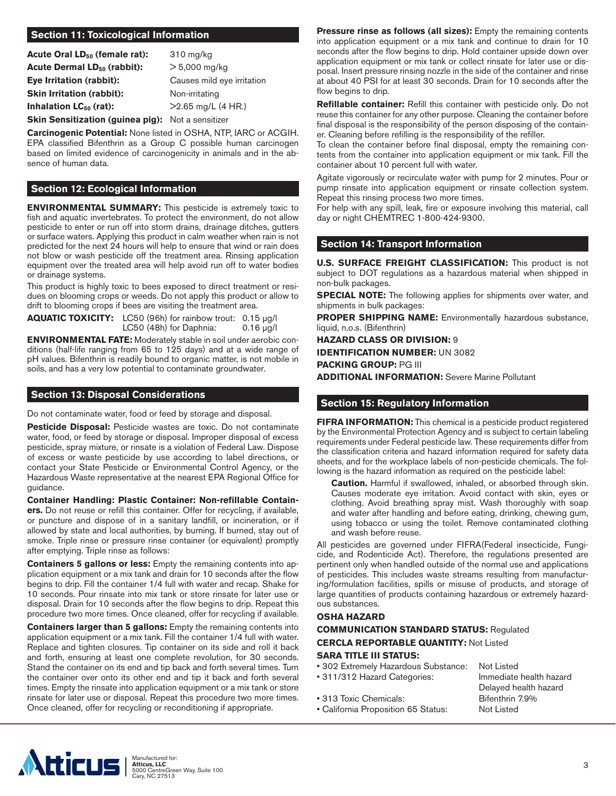## **Section 11: Toxicological Information**

| Acute Oral LD <sub>50</sub> (female rat):         | $310$ mg/kg                |
|---------------------------------------------------|----------------------------|
| Acute Dermal $LD_{50}$ (rabbit):                  | $> 5,000$ mg/kg            |
| Eye Irritation (rabbit):                          | Causes mild eye irritation |
| <b>Skin Irritation (rabbit):</b>                  | Non-irritating             |
| Inhalation $LC_{50}$ (rat):                       | $>2.65$ mg/L (4 HR.)       |
| Skin Sensitization (guinea pig): Not a sensitizer |                            |

**Carcinogenic Potential:** None listed in OSHA, NTP, IARC or ACGIH. EPA classified Bifenthrin as a Group C possible human carcinogen based on limited evidence of carcinogenicity in animals and in the absence of human data.

# **Section 12: Ecological Information**

**ENVIRONMENTAL SUMMARY:** This pesticide is extremely toxic to fish and aquatic invertebrates. To protect the environment, do not allow pesticide to enter or run off into storm drains, drainage ditches, gutters or surface waters. Applying this product in calm weather when rain is not predicted for the next 24 hours will help to ensure that wind or rain does not blow or wash pesticide off the treatment area. Rinsing application equipment over the treated area will help avoid run off to water bodies or drainage systems.

This product is highly toxic to bees exposed to direct treatment or residues on blooming crops or weeds. Do not apply this product or allow to drift to blooming crops if bees are visiting the treatment area.

**AQUATIC TOXICITY:** LC50 (96h) for rainbow trout: 0.15 μg/l LC50 (48h) for Daphnia:  $0.16 \mu g/l$ 

**ENVIRONMENTAL FATE:** Moderately stable in soil under aerobic conditions (half-life ranging from 65 to 125 days) and at a wide range of pH values. Bifenthrin is readily bound to organic matter, is not mobile in soils, and has a very low potential to contaminate groundwater.

## **Section 13: Disposal Considerations**

Do not contaminate water, food or feed by storage and disposal.

**Pesticide Disposal:** Pesticide wastes are toxic. Do not contaminate water, food, or feed by storage or disposal. Improper disposal of excess pesticide, spray mixture, or rinsate is a violation of Federal Law. Dispose of excess or waste pesticide by use according to label directions, or contact your State Pesticide or Environmental Control Agency, or the Hazardous Waste representative at the nearest EPA Regional Office for guidance.

**Container Handling: Plastic Container: Non-refillable Containers.** Do not reuse or refill this container. Offer for recycling, if available, or puncture and dispose of in a sanitary landfill, or incineration, or if allowed by state and local authorities, by burning. If burned, stay out of smoke. Triple rinse or pressure rinse container (or equivalent) promptly after emptying. Triple rinse as follows:

**Containers 5 gallons or less:** Empty the remaining contents into application equipment or a mix tank and drain for 10 seconds after the flow begins to drip. Fill the container 1/4 full with water and recap. Shake for 10 seconds. Pour rinsate into mix tank or store rinsate for later use or disposal. Drain for 10 seconds after the flow begins to drip. Repeat this procedure two more times. Once cleaned, offer for recycling if available.

**Containers larger than 5 gallons:** Empty the remaining contents into application equipment or a mix tank. Fill the container 1/4 full with water. Replace and tighten closures. Tip container on its side and roll it back and forth, ensuring at least one complete revolution, for 30 seconds. Stand the container on its end and tip back and forth several times. Turn the container over onto its other end and tip it back and forth several times. Empty the rinsate into application equipment or a mix tank or store rinsate for later use or disposal. Repeat this procedure two more times. Once cleaned, offer for recycling or reconditioning if appropriate.

**Pressure rinse as follows (all sizes):** Empty the remaining contents into application equipment or a mix tank and continue to drain for 10 seconds after the flow begins to drip. Hold container upside down over application equipment or mix tank or collect rinsate for later use or disposal. Insert pressure rinsing nozzle in the side of the container and rinse at about 40 PSI for at least 30 seconds. Drain for 10 seconds after the flow begins to drip.

**Refillable container:** Refill this container with pesticide only. Do not reuse this container for any other purpose. Cleaning the container before final disposal is the responsibility of the person disposing of the container. Cleaning before refilling is the responsibility of the refiller.

To clean the container before final disposal, empty the remaining contents from the container into application equipment or mix tank. Fill the container about 10 percent full with water.

Agitate vigorously or recirculate water with pump for 2 minutes. Pour or pump rinsate into application equipment or rinsate collection system. Repeat this rinsing process two more times.

For help with any spill, leak, fire or exposure involving this material, call day or night CHEMTREC 1-800-424-9300.

#### **Section 14: Transport Information**

**U.S. SURFACE FREIGHT CLASSIFICATION:** This product is not subject to DOT regulations as a hazardous material when shipped in non-bulk packages.

**SPECIAL NOTE:** The following applies for shipments over water, and shipments in bulk packages:

**PROPER SHIPPING NAME:** Environmentally hazardous substance, liquid, n.o.s. (Bifenthrin)

**HAZARD CLASS OR DIVISION:** 9

**IDENTIFICATION NUMBER: UN 3082** 

**PACKING GROUP:** PG III

**ADDITIONAL INFORMATION:** Severe Marine Pollutant

#### **Section 15: Regulatory Information**

**FIFRA INFORMATION:** This chemical is a pesticide product registered by the Environmental Protection Agency and is subject to certain labeling requirements under Federal pesticide law. These requirements differ from the classification criteria and hazard information required for safety data sheets, and for the workplace labels of non-pesticide chemicals. The following is the hazard information as required on the pesticide label:

**Caution.** Harmful if swallowed, inhaled, or absorbed through skin. Causes moderate eye irritation. Avoid contact with skin, eyes or clothing. Avoid breathing spray mist. Wash thoroughly with soap and water after handling and before eating, drinking, chewing gum, using tobacco or using the toilet. Remove contaminated clothing and wash before reuse.

All pesticides are governed under FIFRA(Federal insecticide, Fungicide, and Rodenticide Act). Therefore, the regulations presented are pertinent only when handled outside of the normal use and applications of pesticides. This includes waste streams resulting from manufacturing/formulation facilities, spills or misuse of products, and storage of large quantities of products containing hazardous or extremely hazardous substances.

#### **OSHA HAZARD**

**COMMUNICATION STANDARD STATUS:** Regulated **CERCLA REPORTABLE QUANTITY:** Not Listed **SARA TITLE III STATUS:**

- 302 Extremely Hazardous Substance: Not Listed • 311/312 Hazard Categories: Immediate health hazard
- 313 Toxic Chemicals: Bifenthrin 7.9%
- California Proposition 65 Status: Not Listed



Delayed health hazard